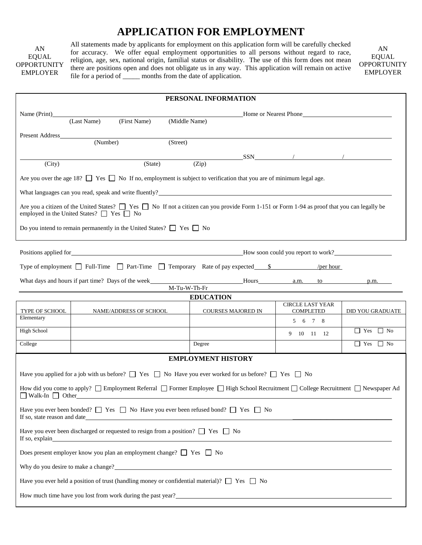# **APPLICATION FOR EMPLOYMENT**

AN EQUAL **OPPORTUNITY** EMPLOYER

All statements made by applicants for employment on this application form will be carefully checked for accuracy. We offer equal employment opportunities to all persons without regard to race, religion, age, sex, national origin, familial status or disability. The use of this form does not mean there are positions open and does not obligate us in any way. This application will remain on active file for a period of \_\_\_\_\_\_ months from the date of application.

AN EQUAL **OPPORTUNITY** EMPLOYER

| PERSONAL INFORMATION                                                                                                                                                                                          |                                                                                                        |                        |               |                  |                           |  |                             |                                                                                                                                                            |  |  |  |  |  |  |
|---------------------------------------------------------------------------------------------------------------------------------------------------------------------------------------------------------------|--------------------------------------------------------------------------------------------------------|------------------------|---------------|------------------|---------------------------|--|-----------------------------|------------------------------------------------------------------------------------------------------------------------------------------------------------|--|--|--|--|--|--|
| Name (Print)                                                                                                                                                                                                  |                                                                                                        |                        |               |                  |                           |  |                             | Home or Nearest Phone                                                                                                                                      |  |  |  |  |  |  |
|                                                                                                                                                                                                               | (Last Name)                                                                                            | (First Name)           | (Middle Name) |                  |                           |  |                             |                                                                                                                                                            |  |  |  |  |  |  |
| <b>Present Address</b>                                                                                                                                                                                        |                                                                                                        |                        |               |                  |                           |  |                             |                                                                                                                                                            |  |  |  |  |  |  |
|                                                                                                                                                                                                               | (Number)                                                                                               |                        | (Street)      |                  |                           |  |                             |                                                                                                                                                            |  |  |  |  |  |  |
| (City)                                                                                                                                                                                                        |                                                                                                        | (State)                |               | (Zip)            |                           |  |                             |                                                                                                                                                            |  |  |  |  |  |  |
|                                                                                                                                                                                                               |                                                                                                        |                        |               |                  |                           |  |                             |                                                                                                                                                            |  |  |  |  |  |  |
| Are you over the age 18? $\Box$ Yes $\Box$ No If no, employment is subject to verification that you are of minimum legal age.                                                                                 |                                                                                                        |                        |               |                  |                           |  |                             |                                                                                                                                                            |  |  |  |  |  |  |
| What languages can you read, speak and write fluently?<br><u>Example</u> 2021                                                                                                                                 |                                                                                                        |                        |               |                  |                           |  |                             |                                                                                                                                                            |  |  |  |  |  |  |
| Are you a citizen of the United States? $\Box$ Yes $\Box$ No If not a citizen can you provide Form 1-151 or Form 1-94 as proof that you can legally be<br>employed in the United States? $\Box$ Yes $\Box$ No |                                                                                                        |                        |               |                  |                           |  |                             |                                                                                                                                                            |  |  |  |  |  |  |
| Do you intend to remain permanently in the United States? $\Box$ Yes $\Box$ No                                                                                                                                |                                                                                                        |                        |               |                  |                           |  |                             |                                                                                                                                                            |  |  |  |  |  |  |
| Positions applied for <b>EXECUTE:</b> How soon could you report to work?                                                                                                                                      |                                                                                                        |                        |               |                  |                           |  |                             |                                                                                                                                                            |  |  |  |  |  |  |
| Type of employment $\Box$ Full-Time $\Box$ Part-Time $\Box$ Temporary Rate of pay expected $\frac{\$}{\$}$                                                                                                    |                                                                                                        |                        |               |                  |                           |  | / $per hour$                |                                                                                                                                                            |  |  |  |  |  |  |
|                                                                                                                                                                                                               |                                                                                                        |                        |               |                  |                           |  |                             |                                                                                                                                                            |  |  |  |  |  |  |
|                                                                                                                                                                                                               |                                                                                                        |                        | M-Tu-W-Th-Fr  | <b>EDUCATION</b> |                           |  |                             |                                                                                                                                                            |  |  |  |  |  |  |
|                                                                                                                                                                                                               |                                                                                                        |                        |               |                  | COURSES MAJORED IN        |  | <b>CIRCLE LAST YEAR</b>     |                                                                                                                                                            |  |  |  |  |  |  |
| TYPE OF SCHOOL<br>Elementary                                                                                                                                                                                  |                                                                                                        | NAME/ADDRESS OF SCHOOL |               |                  |                           |  | <b>COMPLETED</b><br>5 6 7 8 | <b>DID YOU GRADUATE</b>                                                                                                                                    |  |  |  |  |  |  |
| High School                                                                                                                                                                                                   |                                                                                                        |                        |               |                  |                           |  | 9 10 11 12                  | $\Box$ Yes $\Box$ No                                                                                                                                       |  |  |  |  |  |  |
| College                                                                                                                                                                                                       |                                                                                                        |                        |               | Degree           |                           |  |                             | $\Box$ Yes $\Box$ No                                                                                                                                       |  |  |  |  |  |  |
|                                                                                                                                                                                                               |                                                                                                        |                        |               |                  | <b>EMPLOYMENT HISTORY</b> |  |                             |                                                                                                                                                            |  |  |  |  |  |  |
|                                                                                                                                                                                                               |                                                                                                        |                        |               |                  |                           |  |                             |                                                                                                                                                            |  |  |  |  |  |  |
| Have you applied for a job with us before? $\Box$ Yes $\Box$ No Have you ever worked for us before? $\Box$ Yes $\Box$ No                                                                                      |                                                                                                        |                        |               |                  |                           |  |                             |                                                                                                                                                            |  |  |  |  |  |  |
| $\Box$ Walk-In $\Box$ Other                                                                                                                                                                                   |                                                                                                        |                        |               |                  |                           |  |                             | How did you come to apply? $\Box$ Employment Referral $\Box$ Former Employee $\Box$ High School Recruitment $\Box$ College Recruitment $\Box$ Newspaper Ad |  |  |  |  |  |  |
| Have you ever been bonded? $\Box$ Yes $\Box$ No Have you ever been refused bond? $\Box$ Yes $\Box$ No<br>If so, state reason and date                                                                         |                                                                                                        |                        |               |                  |                           |  |                             |                                                                                                                                                            |  |  |  |  |  |  |
| Have you ever been discharged or requested to resign from a position? $\Box$ Yes $\Box$ No<br>If so, explain                                                                                                  |                                                                                                        |                        |               |                  |                           |  |                             |                                                                                                                                                            |  |  |  |  |  |  |
| Does present employer know you plan an employment change? □ Yes □ No                                                                                                                                          |                                                                                                        |                        |               |                  |                           |  |                             |                                                                                                                                                            |  |  |  |  |  |  |
| Why do you desire to make a change?                                                                                                                                                                           |                                                                                                        |                        |               |                  |                           |  |                             |                                                                                                                                                            |  |  |  |  |  |  |
|                                                                                                                                                                                                               | Have you ever held a position of trust (handling money or confidential material)? $\Box$ Yes $\Box$ No |                        |               |                  |                           |  |                             |                                                                                                                                                            |  |  |  |  |  |  |
|                                                                                                                                                                                                               |                                                                                                        |                        |               |                  |                           |  |                             | How much time have you lost from work during the past year?                                                                                                |  |  |  |  |  |  |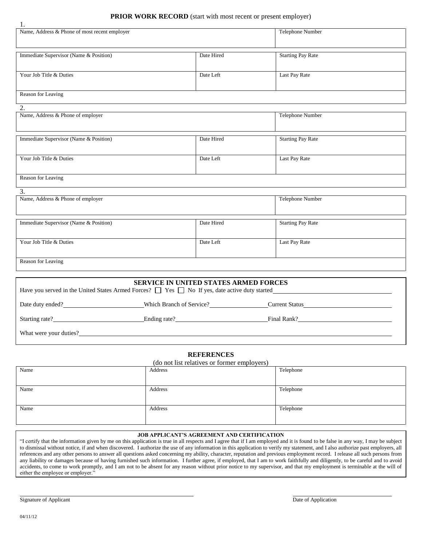## **PRIOR WORK RECORD** (start with most recent or present employer)

| 1.                                            |                  |                          |
|-----------------------------------------------|------------------|--------------------------|
| Name, Address & Phone of most recent employer | Telephone Number |                          |
|                                               |                  |                          |
|                                               |                  |                          |
|                                               |                  |                          |
|                                               |                  |                          |
| Immediate Supervisor (Name & Position)        | Date Hired       | <b>Starting Pay Rate</b> |
|                                               |                  |                          |
|                                               |                  |                          |
|                                               |                  |                          |
| Your Job Title & Duties                       | Date Left        | Last Pay Rate            |
|                                               |                  |                          |
|                                               |                  |                          |
| Reason for Leaving                            |                  |                          |
|                                               |                  |                          |
|                                               |                  |                          |
| 2.                                            |                  |                          |
|                                               |                  |                          |

| Name, Address & Phone of employer      |            | Telephone Number         |
|----------------------------------------|------------|--------------------------|
|                                        |            |                          |
|                                        | Date Hired |                          |
| Immediate Supervisor (Name & Position) |            | <b>Starting Pay Rate</b> |
|                                        |            |                          |
| Your Job Title & Duties                | Date Left  | Last Pay Rate            |
|                                        |            |                          |
|                                        |            |                          |
| Reason for Leaving                     |            |                          |

| a.                |  |
|-------------------|--|
| I<br>۰.<br>×<br>٠ |  |

1.

| $\ddotsc$<br>Name, Address & Phone of employer | Telephone Number |                          |
|------------------------------------------------|------------------|--------------------------|
| Immediate Supervisor (Name & Position)         | Date Hired       | <b>Starting Pay Rate</b> |
| Your Job Title & Duties                        | Date Left        | Last Pay Rate            |
| Reason for Leaving                             |                  |                          |

| <b>SERVICE IN UNITED STATES ARMED FORCES</b><br>Have you served in the United States Armed Forces? $\Box$ Yes $\Box$ No If yes, date active duty started |                          |  |  |  |
|----------------------------------------------------------------------------------------------------------------------------------------------------------|--------------------------|--|--|--|
| Date duty ended?                                                                                                                                         | Which Branch of Service? |  |  |  |
| Starting rate?                                                                                                                                           | Ending rate?             |  |  |  |
| What were your duties?                                                                                                                                   |                          |  |  |  |

#### **REFERENCES**

|  |  |  | (do not list relatives or former employers) |  |  |
|--|--|--|---------------------------------------------|--|--|
|  |  |  |                                             |  |  |

| Name | Address | Telephone |
|------|---------|-----------|
|      |         |           |
| Name | Address | Telephone |
|      |         |           |
| Name | Address | Telephone |
|      |         |           |

#### **JOB APPLICANT'S AGREEMENT AND CERTIFICATION**

"I certify that the information given by me on this application is true in all respects and I agree that if I am employed and it is found to be false in any way, I may be subject to dismissal without notice, if and when discovered. I authorize the use of any information in this application to verify my statement, and I also authorize past employers, all references and any other persons to answer all questions asked concerning my ability, character, reputation and previous employment record. I release all such persons from any liability or damages because of having furnished such information. I further agree, if employed, that I am to work faithfully and diligently, to be careful and to avoid accidents, to come to work promptly, and I am not to be absent for any reason without prior notice to my supervisor, and that my employment is terminable at the will of either the employee or employer."

Signature of Applicant Date of Application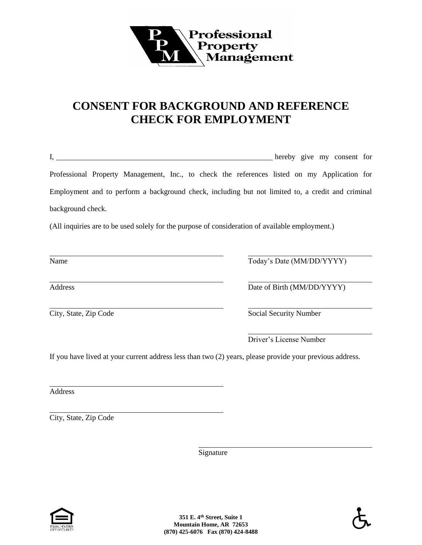

# **CONSENT FOR BACKGROUND AND REFERENCE CHECK FOR EMPLOYMENT**

|                                                                                                          | hereby give my consent for |
|----------------------------------------------------------------------------------------------------------|----------------------------|
| Professional Property Management, Inc., to check the references listed on my Application for             |                            |
| Employment and to perform a background check, including but not limited to, a credit and criminal        |                            |
| background check.                                                                                        |                            |
| (All inquiries are to be used solely for the purpose of consideration of available employment.)          |                            |
|                                                                                                          |                            |
| Name                                                                                                     | Today's Date (MM/DD/YYYY)  |
| Address                                                                                                  | Date of Birth (MM/DD/YYYY) |
| City, State, Zip Code                                                                                    | Social Security Number     |
|                                                                                                          | Driver's License Number    |
| If you have lived at your current address less than two (2) years, please provide your previous address. |                            |
|                                                                                                          |                            |
| Address                                                                                                  |                            |

City, State, Zip Code

**Signature**